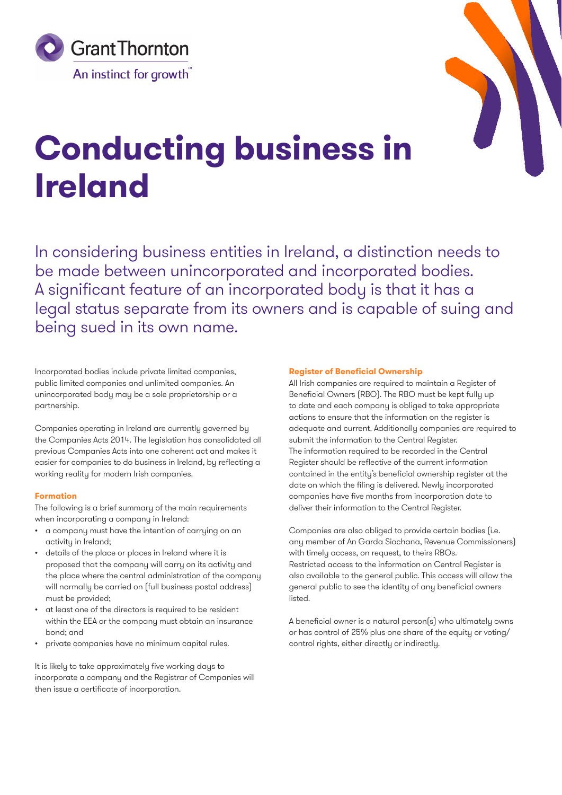



# **Conducting business in Ireland**

In considering business entities in Ireland, a distinction needs to be made between unincorporated and incorporated bodies. A significant feature of an incorporated body is that it has a legal status separate from its owners and is capable of suing and being sued in its own name.

Incorporated bodies include private limited companies, public limited companies and unlimited companies. An unincorporated body may be a sole proprietorship or a partnership.

Companies operating in Ireland are currently governed by the Companies Acts 2014. The legislation has consolidated all previous Companies Acts into one coherent act and makes it easier for companies to do business in Ireland, by reflecting a working reality for modern Irish companies.

## **Formation**

The following is a brief summary of the main requirements when incorporating a company in Ireland:

- a company must have the intention of carrying on an activity in Ireland;
- details of the place or places in Ireland where it is proposed that the company will carry on its activity and the place where the central administration of the company will normally be carried on (full business postal address) must be provided;
- at least one of the directors is required to be resident within the EEA or the company must obtain an insurance bond; and
- private companies have no minimum capital rules.

It is likely to take approximately five working days to incorporate a company and the Registrar of Companies will then issue a certificate of incorporation.

#### **Register of Beneficial Ownership**

All Irish companies are required to maintain a Register of Beneficial Owners (RBO). The RBO must be kept fully up to date and each company is obliged to take appropriate actions to ensure that the information on the register is adequate and current. Additionally companies are required to submit the information to the Central Register. The information required to be recorded in the Central Register should be reflective of the current information contained in the entity's beneficial ownership register at the date on which the filing is delivered. Newly incorporated companies have five months from incorporation date to deliver their information to the Central Register.

Companies are also obliged to provide certain bodies (i.e. any member of An Garda Siochana, Revenue Commissioners) with timely access, on request, to theirs RBOs. Restricted access to the information on Central Register is also available to the general public. This access will allow the general public to see the identity of any beneficial owners listed.

A beneficial owner is a natural person(s) who ultimately owns or has control of 25% plus one share of the equity or voting/ control rights, either directly or indirectly.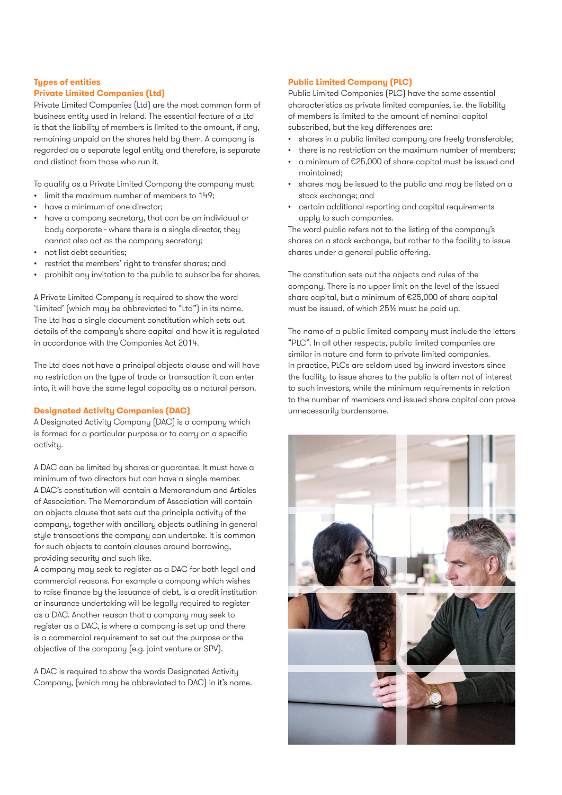#### **Types of entities Private Limited Companies (Ltd)**

Private Limited Companies (Ltd) are the most common form of business entity used in Ireland. The essential feature of a Ltd is that the liability of members is limited to the amount, if any, remaining unpaid on the shares held by them. A company is regarded as a separate legal entity and therefore, is separate and distinct from those who run it.

To qualify as a Private Limited Company the company must:

- limit the maximum number of members to 149;
- have a minimum of one director;
- have a company secretary, that can be an individual or body corporate - where there is a single director, they cannot also act as the company secretary;
- not list debt securities;
- restrict the members' right to transfer shares; and
- prohibit any invitation to the public to subscribe for shares.

A Private Limited Company is required to show the word 'Limited' (which may be abbreviated to "Ltd") in its name. The Ltd has a single document constitution which sets out details of the company's share capital and how it is regulated in accordance with the Companies Act 2014.

The Ltd does not have a principal objects clause and will have no restriction on the type of trade or transaction it can enter into, it will have the same legal capacity as a natural person.

## **Designated Activity Companies (DAC)**

A Designated Activity Company (DAC) is a company which is formed for a particular purpose or to carry on a specific activity.

A DAC can be limited by shares or guarantee. It must have a minimum of two directors but can have a single member. A DAC's constitution will contain a Memorandum and Articles of Association. The Memorandum of Association will contain an objects clause that sets out the principle activity of the company, together with ancillary objects outlining in general style transactions the company can undertake. It is common for such objects to contain clauses around borrowing, providing security and such like.

A company may seek to register as a DAC for both legal and commercial reasons. For example a company which wishes to raise finance by the issuance of debt, is a credit institution or insurance undertaking will be legally required to register as a DAC. Another reason that a company may seek to register as a DAC, is where a company is set up and there is a commercial requirement to set out the purpose or the objective of the company (e.g. joint venture or SPV).

A DAC is required to show the words Designated Activity Company, (which may be abbreviated to DAC) in it's name.

# **Public Limited Company (PLC)**

Public Limited Companies (PLC) have the same essential characteristics as private limited companies, i.e. the liability of members is limited to the amount of nominal capital subscribed, but the key differences are:

- shares in a public limited company are freely transferable;
- there is no restriction on the maximum number of members;
- a minimum of €25,000 of share capital must be issued and maintained;
- shares may be issued to the public and may be listed on a stock exchange; and
- certain additional reporting and capital requirements apply to such companies.

The word public refers not to the listing of the company's shares on a stock exchange, but rather to the facility to issue shares under a general public offering.

The constitution sets out the objects and rules of the company. There is no upper limit on the level of the issued share capital, but a minimum of €25,000 of share capital must be issued, of which 25% must be paid up.

The name of a public limited company must include the letters "PLC". In all other respects, public limited companies are similar in nature and form to private limited companies. In practice, PLCs are seldom used by inward investors since the facility to issue shares to the public is often not of interest to such investors, while the minimum requirements in relation to the number of members and issued share capital can prove unnecessarily burdensome.